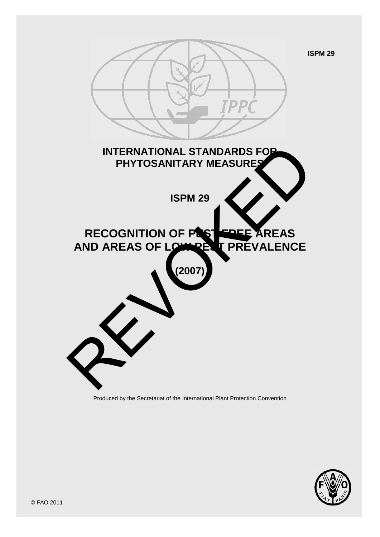



Produced by the Secretariat of the International Plant Protection Convention

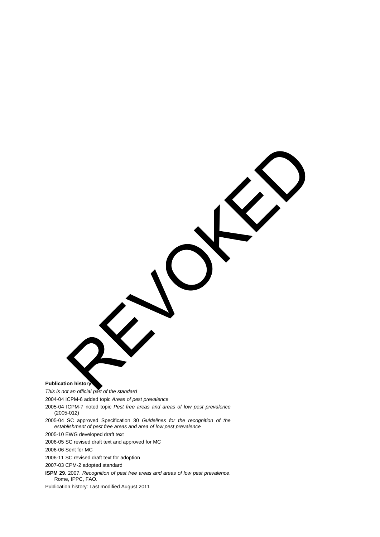**Publication history**

*This is not an official part of the standard* REVOKED

2004-04 ICPM-6 added topic *Areas of pest prevalence*

2005-04 ICPM-7 noted topic *Pest free areas and areas of low pest prevalence* (2005-012)

2005-04 SC approved Specification 30 *Guidelines for the recognition of the establishment of pest free areas and area of low pest prevalence*

2005-10 EWG developed draft text

2006-05 SC revised draft text and approved for MC

2006-06 Sent for MC

2006-11 SC revised draft text for adoption

2007-03 CPM-2 adopted standard

**ISPM 29**. 2007. *Recognition of pest free areas and areas of low pest prevalence*. Rome, IPPC, FAO.

Publication history: Last modified August 2011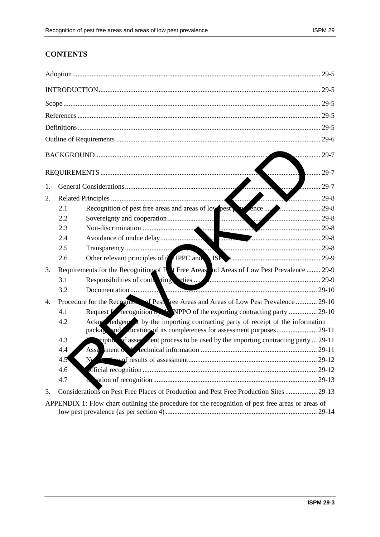# **CONTENTS**

| $29 - 5$                                                                                          |                                                                                                     |                                                                                         |  |
|---------------------------------------------------------------------------------------------------|-----------------------------------------------------------------------------------------------------|-----------------------------------------------------------------------------------------|--|
|                                                                                                   |                                                                                                     |                                                                                         |  |
|                                                                                                   |                                                                                                     |                                                                                         |  |
|                                                                                                   |                                                                                                     |                                                                                         |  |
|                                                                                                   |                                                                                                     |                                                                                         |  |
|                                                                                                   |                                                                                                     |                                                                                         |  |
| $29-7$                                                                                            |                                                                                                     |                                                                                         |  |
| $\ldots$ 29-7<br>. 1                                                                              |                                                                                                     |                                                                                         |  |
| 1.                                                                                                |                                                                                                     | 29-7                                                                                    |  |
| 2.                                                                                                |                                                                                                     | 29-8                                                                                    |  |
|                                                                                                   | 2.1                                                                                                 |                                                                                         |  |
|                                                                                                   | 2.2                                                                                                 |                                                                                         |  |
|                                                                                                   | 2.3                                                                                                 |                                                                                         |  |
|                                                                                                   | 2.4                                                                                                 |                                                                                         |  |
|                                                                                                   | 2.5                                                                                                 |                                                                                         |  |
|                                                                                                   | 2.6                                                                                                 |                                                                                         |  |
| 3.                                                                                                | Requirements for the Recognition of P <sub>t</sub> Free Areas nd Areas of Low Pest Prevalence  29-9 |                                                                                         |  |
|                                                                                                   | 3.1                                                                                                 |                                                                                         |  |
|                                                                                                   | 3.2                                                                                                 |                                                                                         |  |
| 4.                                                                                                | Procedure for the Recognition of Pesti Tree Areas and Areas of Low Pest Prevalence  29-10           |                                                                                         |  |
|                                                                                                   | 4.1                                                                                                 | Request for recognition by the NPPO of the exporting contracting party  29-10           |  |
|                                                                                                   | 4.2                                                                                                 | Ackne ledgem $\lambda$ by the importing contracting party of receipt of the information |  |
|                                                                                                   | 4.3                                                                                                 | riptic of assessment process to be used by the importing contracting party  29-11       |  |
|                                                                                                   | 4.4                                                                                                 |                                                                                         |  |
|                                                                                                   | $4.5^{\circ}$                                                                                       |                                                                                         |  |
|                                                                                                   | 4.6                                                                                                 |                                                                                         |  |
|                                                                                                   | 4.7                                                                                                 |                                                                                         |  |
| 5.                                                                                                |                                                                                                     | Considerations on Pest Free Places of Production and Pest Free Production Sites  29-13  |  |
| APPENDIX 1: Flow chart outlining the procedure for the recognition of pest free areas or areas of |                                                                                                     |                                                                                         |  |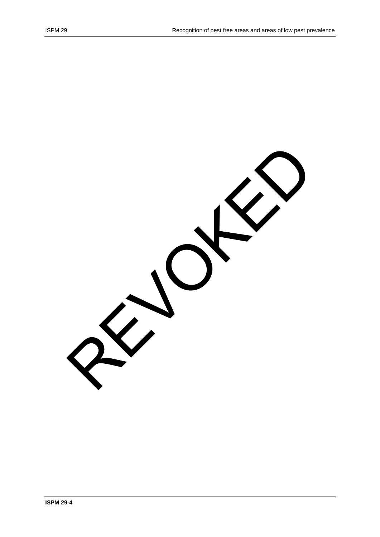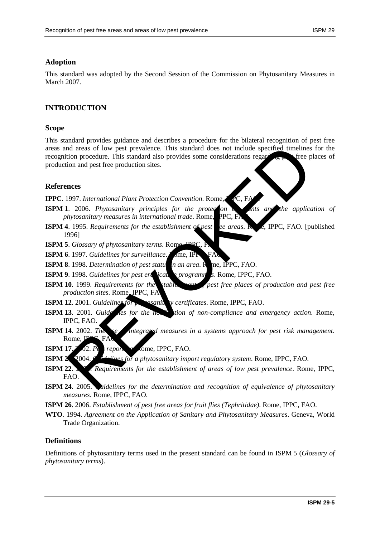## **Adoption**

This standard was adopted by the Second Session of the Commission on Phytosanitary Measures in March 2007.

## **INTRODUCTION**

#### **Scope**

This standard provides guidance and describes a procedure for the bilateral recognition of pest free areas and areas of low pest prevalence. This standard does not include specified timelines for the recognition procedure. This standard also provides some considerations regarding perfect places of production and pest free production sites. nd areas of low pest prevalence. This standard does not include specified timelines<br>tion procedure. This standard also provides some considerations regarded there is<br>not and pest free production sites.<br>The protocolar contr

#### **References**

**IPPC**. 1997. *International Plant Protection Convention*. Rome, *IPC*, FA

- **ISPM 1**. 2006. *Phytosanitary principles for the protection of the application of phytosanitary measures in international trade. Rome, PPC, F.*
- **ISPM 4**. 1995. *Requirements for the establishment of pest see areas.* Rome, IPPC, FAO. [published 1996]

**ISPM 5.** *Glossary of phytosanitary terms*. Rome

**ISPM 6**. 1997. *Guidelines for surveillance*. Fome, IPP

**ISPM 8**. 1998. *Determination of pest status in an area*. R me, IPPC, FAO.

**ISPM 9**. 1998. *Guidelines for pest era* ican programmes. Rome, IPPC, FAO.

**ISPM 10**. 1999. *Requirements for the stablishment of pest free places of production and pest free production sites*. Rome, IPPC, FA

**ISPM 12.** 2001. *Guidelines for phytosanitary certificates*. Rome, IPPC, FAO.

- **ISPM 13.** 2001. *Guide les for the notification of non-compliance and emergency action*. Rome, IPPC, FAO.
- **ISPM 14.** 2002. The setting integrated measures in a systems approach for pest risk management. Rome,  $IPPC$ ,  $FA$
- **ISPM 17.**  $\sqrt{2}$ **.** *Pe* reporting  $\Omega$  come, IPPC, FAO.

**ISPM 2** 2004. *Guides for a phytosanitary import regulatory system.* Rome, IPPC, FAO.

- **ISPM 22.** 2005. *Requirements for the establishment of areas of low pest prevalence.* Rome, IPPC, FAO.
- **ISPM 24.** 2005. aidelines for the determination and recognition of equivalence of phytosanitary *measures*. Rome, IPPC, FAO.
- **ISPM 26**. 2006. *Establishment of pest free areas for fruit flies (Tephritidae)*. Rome, IPPC, FAO.
- **WTO**. 1994. *Agreement on the Application of Sanitary and Phytosanitary Measures*. Geneva, World Trade Organization.

### **Definitions**

Definitions of phytosanitary terms used in the present standard can be found in ISPM 5 (*Glossary of phytosanitary terms*).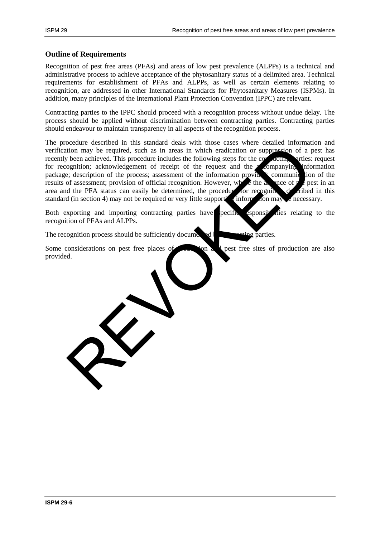#### **Outline of Requirements**

Recognition of pest free areas (PFAs) and areas of low pest prevalence (ALPPs) is a technical and administrative process to achieve acceptance of the phytosanitary status of a delimited area. Technical requirements for establishment of PFAs and ALPPs, as well as certain elements relating to recognition, are addressed in other International Standards for Phytosanitary Measures (ISPMs). In addition, many principles of the International Plant Protection Convention (IPPC) are relevant.

Contracting parties to the IPPC should proceed with a recognition process without undue delay. The process should be applied without discrimination between contracting parties. Contracting parties should endeavour to maintain transparency in all aspects of the recognition process.

The procedure described in this standard deals with those cases where detailed information and verification may be required, such as in areas in which eradication or suppression of a pest has recently been achieved. This procedure includes the following steps for the contracting parties: request for recognition; acknowledgement of receipt of the request and the companying information for recognition; acknowledgement of receipt of the request and the  $\alpha$  companying information package; description of the process; assessment of the information provided; communication of the results of assessment; provision of official recognition. However, where the absence of the pest in an area and the PFA status can easily be determined, the procedure for recognition of cribed in this standard (in section 4) may not be required or very little supporting information may be necessary. Statemann de Statemann de Statemann de Statemann de Constituer de l'Accel de l'Accel and the political constituer includes the following step for the construction of a political constraint provided (in section of recept of

Both exporting and importing contracting parties have pecific esponsibilities relating to the recognition of PFAs and ALPPs.

The recognition process should be sufficiently documented by  $\mathbb{R}^n$ 

Some considerations on pest free places of  $\sim$  ion a 1 pest free sites of production are also provided.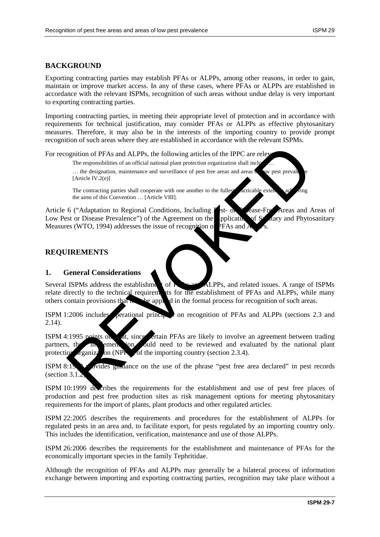## **BACKGROUND**

Exporting contracting parties may establish PFAs or ALPPs, among other reasons, in order to gain, maintain or improve market access. In any of these cases, where PFAs or ALPPs are established in accordance with the relevant ISPMs, recognition of such areas without undue delay is very important to exporting contracting parties.

Importing contracting parties, in meeting their appropriate level of protection and in accordance with requirements for technical justification, may consider PFAs or ALPPs as effective phytosanitary measures. Therefore, it may also be in the interests of the importing country to provide prompt recognition of such areas where they are established in accordance with the relevant ISPMs.

For recognition of PFAs and ALPPs, the following articles of the IPPC are relevant.

The responsibilities of an official national plant protection organization shall inclu

 $\ldots$  the designation, maintenance and surveillance of pest free areas and areas  $\bullet$  we pest prevalence in  $\bullet$ [Article IV.2(e)]

The contracting parties shall cooperate with one another to the fullest acticable extent achieving the aims of this Convention … [Article VIII].

Article 6 ("Adaptation to Regional Conditions, Including P<sub>est- or</sub> Disease-Free Areas and Areas of Low Pest or Disease Prevalence") of the Agreement on the **Application of Sanctary and Phytosanitary** Measures (WTO, 1994) addresses the issue of recognition of PFAs and ognition of PFAs and ALPPs, the following articles of the IPPC are relevant to the responsibilities of an official national plant protection organization shall including the contracting particles and surveillance of pest f

## **REQUIREMENTS**

### **1. General Considerations**

Several ISPMs address the establishment of  $\Gamma$  **F**<sub>S</sub> and  $\Gamma$ ALPPs, and related issues. A range of ISPMs relate directly to the technical requirements for the establishment of PFAs and ALPPs, while many others contain provisions that  $\mathbf{h}$  be applied in the formal process for recognition of such areas.

ISPM 1:2006 includes operational principles on recognition of PFAs and ALPPs (sections 2.3 and 2.14).

ISPM 4:1995 points out at, since circuit PFAs are likely to involve an agreement between trading partners, the implementation would need to be reviewed and evaluated by the national plant protection  $r_{\text{gamma}}$  on (NPP<sub>O</sub>) of the importing country (section 2.3.4).

ISPM  $8:19$  provides guidance on the use of the phrase "pest free area declared" in pest records (section  $3.1$ .)

ISPM 10:1999 describes the requirements for the establishment and use of pest free places of production and pest free production sites as risk management options for meeting phytosanitary requirements for the import of plants, plant products and other regulated articles.

ISPM 22:2005 describes the requirements and procedures for the establishment of ALPPs for regulated pests in an area and, to facilitate export, for pests regulated by an importing country only. This includes the identification, verification, maintenance and use of those ALPPs.

ISPM 26:2006 describes the requirements for the establishment and maintenance of PFAs for the economically important species in the family Tephritidae.

Although the recognition of PFAs and ALPPs may generally be a bilateral process of information exchange between importing and exporting contracting parties, recognition may take place without a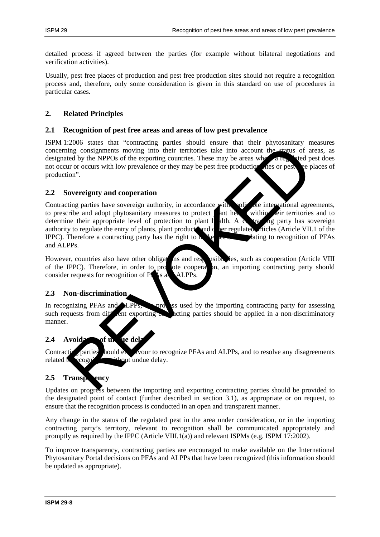detailed process if agreed between the parties (for example without bilateral negotiations and verification activities).

Usually, pest free places of production and pest free production sites should not require a recognition process and, therefore, only some consideration is given in this standard on use of procedures in particular cases.

## **2. Related Principles**

#### **2.1 Recognition of pest free areas and areas of low pest prevalence**

ISPM 1:2006 states that "contracting parties should ensure that their phytosanitary measures concerning consignments moving into their territories take into account the status of areas, as designated by the NPPOs of the exporting countries. These may be areas where a regulated pest does not occur or occurs with low prevalence or they may be pest free production at the site or pest the places of production".

### **2.2 Sovereignty and cooperation**

Contracting parties have sovereign authority, in accordance with applicable international agreements, to prescribe and adopt phytosanitary measures to protect **and** health within the territories and to determine their appropriate level of protection to plant health. A contraction party has sovereign authority to regulate the entry of plants, plant product and other regulated articles (Article VII.1 of the IPPC). Therefore a contracting party has the right to  $\mathbf{k}$  be determined to recognition of PFAs and ALPPs. The constraints and the streaments are the interest of the strength of the proposition of the strength of the NPPOs of the experting contrises. These may be areas while the strength of the NPPOs of the experting contrises.

However, countries also have other obligations and responsibilities, such as cooperation (Article VIII of the IPPC). Therefore, in order to promote cooperation, an importing contracting party should consider requests for recognition of P $\blacktriangle$ s and ALPPs.

### **2.3 Non-discrimination**

In recognizing PFAs and ALPPs, so used by the importing contracting party for assessing such requests from different exporting  $\epsilon$  acting parties should be applied in a non-discriminatory manner.

## **2.4 Avoida** of u<sub>n</sub> ue del

Contracting parties hould end avour to recognize PFAs and ALPPs, and to resolve any disagreements related  $\mathbf{t}$  recognition, whout undue delay.

## **2.5 Transparency**

Updates on progress between the importing and exporting contracting parties should be provided to the designated point of contact (further described in section 3.1), as appropriate or on request, to ensure that the recognition process is conducted in an open and transparent manner.

Any change in the status of the regulated pest in the area under consideration, or in the importing contracting party's territory, relevant to recognition shall be communicated appropriately and promptly as required by the IPPC (Article VIII.1(a)) and relevant ISPMs (e.g. ISPM 17:2002).

To improve transparency, contracting parties are encouraged to make available on the International Phytosanitary Portal decisions on PFAs and ALPPs that have been recognized (this information should be updated as appropriate).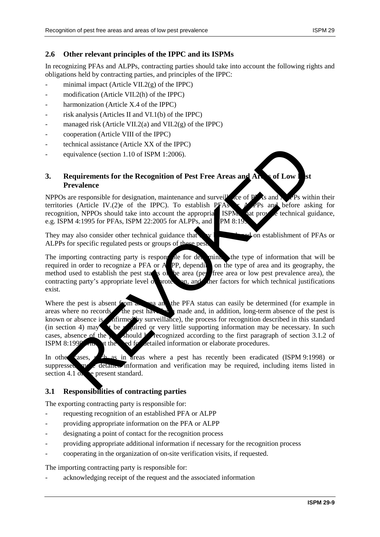### **2.6 Other relevant principles of the IPPC and its ISPMs**

In recognizing PFAs and ALPPs, contracting parties should take into account the following rights and obligations held by contracting parties, and principles of the IPPC:

- minimal impact (Article VII.2 $(g)$  of the IPPC)
- modification (Article VII.2(h) of the IPPC)
- harmonization (Article X.4 of the IPPC)
- risk analysis (Articles II and  $VI.1(b)$  of the IPPC)
- managed risk (Article VII.2(a) and VII.2(g) of the IPPC)
- cooperation (Article VIII of the IPPC)
- technical assistance (Article XX of the IPPC)
- equivalence (section 1.10 of ISPM 1:2006).

### **3.** Requirements for the Recognition of Pest Free Areas and Areas of Low **Prevalence**

NPPOs are responsible for designation, maintenance and surveillance of PFAs and ALPPs within their territories (Article IV.(2)e of the IPPC). To establish PFAs  $\sim$  APPs and before asking for recognition, NPPOs should take into account the appropriate ISPMs that provide technical guidance, e.g. ISPM 4:1995 for PFAs, ISPM 22:2005 for ALPPs, and  $\blacksquare$  PM 8:19

They may also consider other technical guidance that  $\mathbf{w}$  be developed on establishment of PFAs or ALPPs for specific regulated pests or groups of these pes

The importing contracting party is responsible for determining the type of information that will be required in order to recognize a PFA or ALPP, depending on the type of area and its geography, the method used to establish the pest states of the area (pest free area or low pest prevalence area), the contracting party's appropriate level  $\alpha$  protection, and other factors for which technical justifications exist.

Where the pest is absent from an area and the PFA status can easily be determined (for example in areas where no records the pest have been made and, in addition, long-term absence of the pest is known or absence is confirmed by surveillance), the process for recognition described in this standard (in section 4) may be required or very little supporting information may be necessary. In such cases, absence of the personal behavior of section 3.1.2 of ISPM  $8:199$ <sup>o</sup> with the ed for detailed information or elaborate procedures. Example a metastrane (Article XA of the IPTC)<br>quivalence (section 1.10 of ISPM 1:2006).<br>Requirements for the Recognition of Pest Free Areas and Article IV (2)<br>e. of the IPPC). To establish PFAs the OFP is switch as a resp

In other cases, such as in areas where a pest has recently been eradicated (ISPM 9:1998) or suppressed, more detailed information and verification may be required, including items listed in section 4.1  $\alpha$  be present standard.

### **3.1 Responsibilities of contracting parties**

The exporting contracting party is responsible for:

- requesting recognition of an established PFA or ALPP
- providing appropriate information on the PFA or ALPP
- designating a point of contact for the recognition process
- providing appropriate additional information if necessary for the recognition process
- cooperating in the organization of on-site verification visits, if requested.

The importing contracting party is responsible for:

acknowledging receipt of the request and the associated information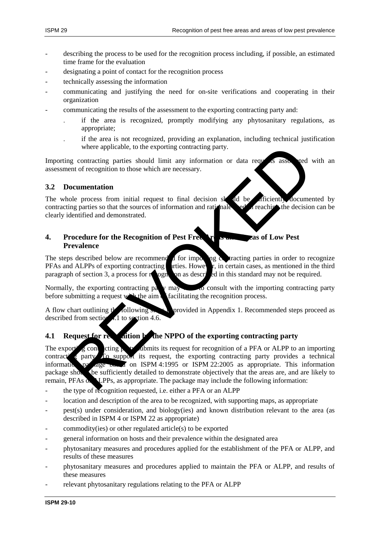- describing the process to be used for the recognition process including, if possible, an estimated time frame for the evaluation
- designating a point of contact for the recognition process
- technically assessing the information
- communicating and justifying the need for on-site verifications and cooperating in their organization
- communicating the results of the assessment to the exporting contracting party and:
	- . if the area is recognized, promptly modifying any phytosanitary regulations, as appropriate;
	- . if the area is not recognized, providing an explanation, including technical justification where applicable, to the exporting contracting party.

Importing contracting parties should limit any information or data requests associated with an assessment of recognition to those which are necessary.

#### **3.2 Documentation**

The whole process from initial request to final decision sk  $\mathbf{d}$  deconvented by contracting parties so that the sources of information and rationale  $e^{i\theta}$  a reaching the decision can be clearly identified and demonstrated.

## **4. Procedure for the Recognition of Pest Free Areas and Areas of Low Pest Prevalence**

The steps described below are recommended for importing  $\alpha$  tracting parties in order to recognize PFAs and ALPPs of exporting contracting urties. However, in certain cases, as mentioned in the third PFAs and ALPPs of exporting contracting parties. However, in the third in the third in the third in the third in the third in the third in the third in the third in the third in the third in the third in the third in the t paragraph of section 3, a process for recognition as described in this standard may not be required.

Normally, the exporting contracting party may work consult with the importing contracting party before submitting a request with the aim a facilitating the recognition process.

A flow chart outlining the following steps is provided in Appendix 1. Recommended steps proceed as described from section 4.1 to section 4.6.

## **4.1 Request for recognition by the NPPO of the exporting contracting party**

The exporting contacting party submits its request for recognition of a PFA or ALPP to an importing contract  $\epsilon$  party. To support its request, the exporting contracting party provides a technical information particle particle on ISPM 4:1995 or ISPM 22:2005 as appropriate. This information package show be sufficiently detailed to demonstrate objectively that the areas are, and are likely to remain, PFAs  $\alpha$  LPPs, as appropriate. The package may include the following information: where applicable, to the exporting contracting party.<br>
Ing contracting parties should limit any information or data requests and the<br>
next of recognition to those which are necessary.<br>
Documentation<br>
Independence of infor

- the type of recognition requested, i.e. either a PFA or an ALPP
- location and description of the area to be recognized, with supporting maps, as appropriate
- pest(s) under consideration, and biology(ies) and known distribution relevant to the area (as described in ISPM 4 or ISPM 22 as appropriate)
- commodity(ies) or other regulated article(s) to be exported
- general information on hosts and their prevalence within the designated area
- phytosanitary measures and procedures applied for the establishment of the PFA or ALPP, and results of these measures
- phytosanitary measures and procedures applied to maintain the PFA or ALPP, and results of these measures
- relevant phytosanitary regulations relating to the PFA or ALPP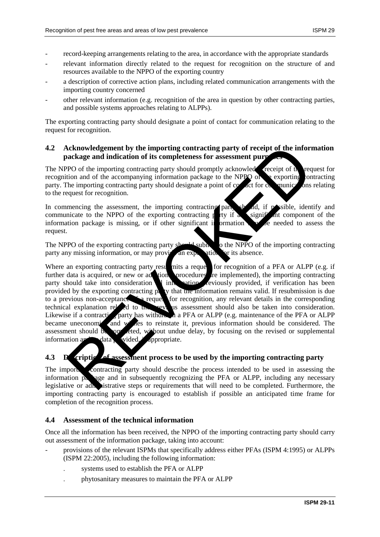- record-keeping arrangements relating to the area, in accordance with the appropriate standards
- relevant information directly related to the request for recognition on the structure of and resources available to the NPPO of the exporting country
- a description of corrective action plans, including related communication arrangements with the importing country concerned
- other relevant information (e.g. recognition of the area in question by other contracting parties, and possible systems approaches relating to ALPPs).

The exporting contracting party should designate a point of contact for communication relating to the request for recognition.

#### **4.2 Acknowledgement by the importing contracting party of receipt of the information**  package and indication of its completeness for assessment pur

The NPPO of the importing contracting party should promptly acknowled receipt of  $\mathbf{t}_h$  request for recognition and of the accompanying information package to the NPPO of  $\epsilon$  exporting contracting party. The importing contracting party should designate a point of  $\infty$  act for  $\infty$  munications relating to the request for recognition.

In commencing the assessment, the importing contracting part should, if possible, identify and communicate to the NPPO of the exporting contracting  $\frac{1}{k}$  if a significant component of the information package is missing, or if other significant in ormation  $\mathbf{v}$  be needed to assess the request.

The NPPO of the exporting contracting party should submit to the NPPO of the importing contracting party any missing information, or may provide an explanation for its absence.

Where an exporting contracting party resumits a request for recognition of a PFA or ALPP (e.g. if further data is acquired, or new or advisory procedures are implemented), the importing contracting  $f$  tion procedures  $f$  re implemented), the importing contracting party should take into consideration  $\blacksquare$  into variously provided, if verification has been provided by the exporting contracting  $p<sub>i</sub>$  ty that the information remains valid. If resubmission is due to a previous non-acceptance  $\leq$  a request for recognition, any relevant details in the corresponding technical explanation related to the previous assessment should also be taken into consideration. Likewise if a contracting party has withdrawn a PFA or ALPP (e.g. maintenance of the PFA or ALPP) became uneconomic and wishes to reinstate it, previous information should be considered. The assessment should be on eted, without undue delay, by focusing on the revised or supplemental information are data. Wided, without undue delay, by focusing on the revised or supplemental information and data Acknowledgement by the importing contracting party of receipt of the information and indication of its completeness for assessment purped to the importing contracting party should be<br>property to the importing contracting p

# **4.3** Description of assessment process to be used by the importing contracting party

The importing contracting party should describe the process intended to be used in assessing the information package and in subsequently recognizing the PFA or ALPP, including any necessary legislative or administrative steps or requirements that will need to be completed. Furthermore, the importing contracting party is encouraged to establish if possible an anticipated time frame for completion of the recognition process.

### **4.4 Assessment of the technical information**

Once all the information has been received, the NPPO of the importing contracting party should carry out assessment of the information package, taking into account:

- provisions of the relevant ISPMs that specifically address either PFAs (ISPM 4:1995) or ALPPs (ISPM 22:2005), including the following information:
	- . systems used to establish the PFA or ALPP
	- . phytosanitary measures to maintain the PFA or ALPP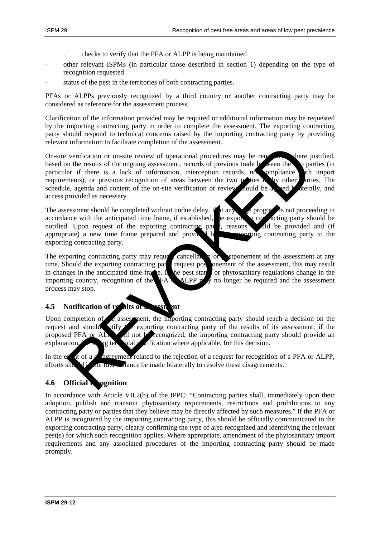- . checks to verify that the PFA or ALPP is being maintained
- other relevant ISPMs (in particular those described in section 1) depending on the type of recognition requested
- status of the pest in the territories of both contracting parties.

PFAs or ALPPs previously recognized by a third country or another contracting party may be considered as reference for the assessment process.

Clarification of the information provided may be required or additional information may be requested by the importing contracting party in order to complete the assessment. The exporting contracting party should respond to technical concerns raised by the importing contracting party by providing relevant information to facilitate completion of the assessment.

On-site verification or on-site review of operational procedures may be requested, where justified, based on the results of the ongoing assessment, records of previous trade between the two parties (in particular if there is a lack of information, interception records, not compliance with import requirements), or previous recognition of areas between the two positions  $\mathbf{v}_i$  by other parties. The schedule, agenda and content of the on-site verification or review nould be a read bilaterally, and access provided as necessary. verification or on-site review of operational procedures may be reached the verification or on-site review of operational procedures may be reached the properties in a lack of information, interesption records of previous

The assessment should be completed without undue delay. If at any stage progress is not proceeding in accordance with the anticipated time frame, if established, the exporting contracting party should be notified. Upon request of the exporting contracting party, reasons and did be provided and (if appropriate) a new time frame prepared and provided by the importing contracting party to the exporting contracting party.

The exporting contracting party may request cancellation or postponement of the assessment at any time. Should the exporting contracting part request postponement of the assessment, this may result time. Should the exporting contracting party request pos in changes in the anticipated time frame. In the pest status or phytosanitary regulations change in the importing country, recognition of the FA ALPP may no longer be required and the assessment process may stop.

## **4.5 Notification of results of assistant**

Upon completion of  $\epsilon$  assessment, the importing contracting party should reach a decision on the request and should otify the exporting contracting party of the results of its assessment; if the proposed PFA or ALPP  $\mu$  not be recognized, the importing contracting party should provide an explanation,  $\log$  technical justification where applicable, for this decision.

In the event of a  $\alpha$  disagreement related to the rejection of a request for recognition of a PFA or ALPP, efforts showl in the first instance be made bilaterally to resolve these disagreements.

### **4.6 Official Recognition**

In accordance with Article VII.2(b) of the IPPC: "Contracting parties shall, immediately upon their adoption, publish and transmit phytosanitary requirements, restrictions and prohibitions to any contracting party or parties that they believe may be directly affected by such measures." If the PFA or ALPP is recognized by the importing contracting party, this should be officially communicated to the exporting contracting party, clearly confirming the type of area recognized and identifying the relevant pest(s) for which such recognition applies. Where appropriate, amendment of the phytosanitary import requirements and any associated procedures of the importing contracting party should be made promptly.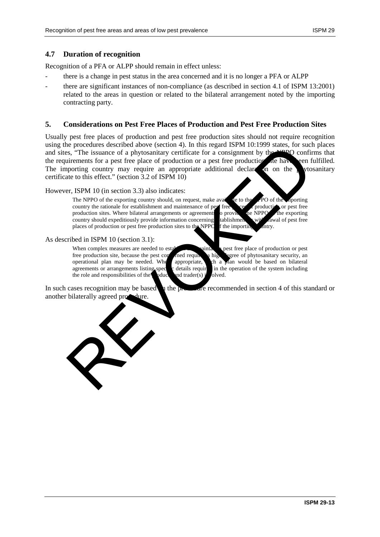#### **4.7 Duration of recognition**

Recognition of a PFA or ALPP should remain in effect unless:

- there is a change in pest status in the area concerned and it is no longer a PFA or ALPP
- there are significant instances of non-compliance (as described in section 4.1 of ISPM 13:2001) related to the areas in question or related to the bilateral arrangement noted by the importing contracting party.

#### **5. Considerations on Pest Free Places of Production and Pest Free Production Sites**

Usually pest free places of production and pest free production sites should not require recognition using the procedures described above (section 4). In this regard ISPM 10:1999 states, for such places and sites, "The issuance of a phytosanitary certificate for a consignment by the NPPO confirms that the requirements for a pest free place of production or a pest free production in have been fulfilled. The importing country may require an appropriate additional declares on the phytosanitary certificate to this effect." (section 3.2 of ISPM 10) is procedures described above (section 4). In this regard IsPM 10:1999 states, for such that the procedures accretion of the state of production or a pest free place of production or a pest free production of a particular

#### However, ISPM 10 (in section 3.3) also indicates:

The NPPO of the exporting country should, on request, make available to the NPO of the importing country the rationale for establishment and maintenance of perfection of the importing country the rationale for establishmen country the rationale for establishment and maintenance of pest free production or pest free production sites. Where bilateral arrangements or agreements o provided the NPPO the exporting country should expeditiously provide information concerning tablishment with a wall of pest free places of production or pest free production sites to the NPPC f the importing antry. places of production or pest free production sites to the NPPO f the importing country.

As described in ISPM 10 (section 3.1):

When complex measures are needed to establish and maintain a pest free place of production or pest free production site, because the pest concerned required a high degree of phytosanitary security, and operational plan may be needed. When appropriate, ch a plan would be based on bilateral appropriate, such a plan would be based on bilateral agreements or arrangements listing specific details required in the operation of the system including the role and responsibilities of the polyod and trader(s) involved.

In such cases recognition may be based to the procedure recommended in section 4 of this standard or another bilaterally agreed procedure.